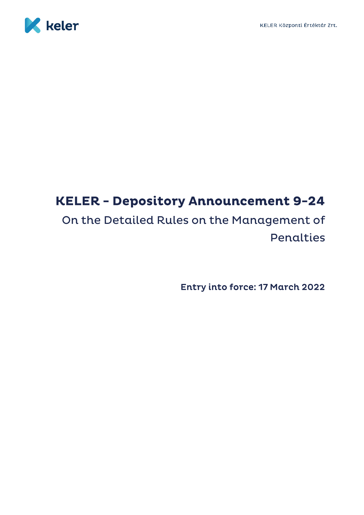<span id="page-0-0"></span>

# **KELER - Depository Announcement 9-24**

## On the Detailed Rules on the Management of Penalties

**Entry into force: 17 March 2022**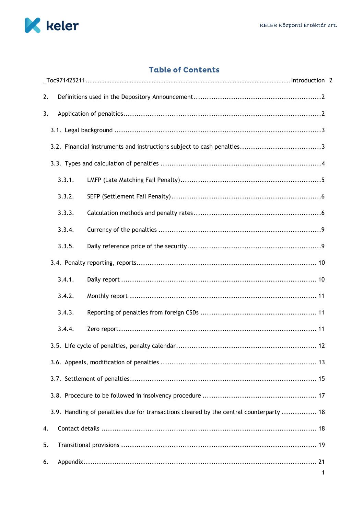

## **Table of Contents**

| 2. |        |                                                                                         |  |
|----|--------|-----------------------------------------------------------------------------------------|--|
| 3. |        |                                                                                         |  |
|    |        |                                                                                         |  |
|    |        |                                                                                         |  |
|    |        |                                                                                         |  |
|    | 3.3.1. |                                                                                         |  |
|    | 3.3.2. |                                                                                         |  |
|    | 3.3.3. |                                                                                         |  |
|    | 3.3.4. |                                                                                         |  |
|    | 3.3.5. |                                                                                         |  |
|    |        |                                                                                         |  |
|    | 3.4.1. |                                                                                         |  |
|    | 3.4.2. |                                                                                         |  |
|    | 3.4.3. |                                                                                         |  |
|    | 3.4.4. |                                                                                         |  |
|    |        |                                                                                         |  |
|    |        |                                                                                         |  |
|    |        |                                                                                         |  |
|    |        |                                                                                         |  |
|    |        | 3.9. Handling of penalties due for transactions cleared by the central counterparty  18 |  |
| 4. |        |                                                                                         |  |
| 5. |        |                                                                                         |  |
| 6. |        |                                                                                         |  |
|    |        |                                                                                         |  |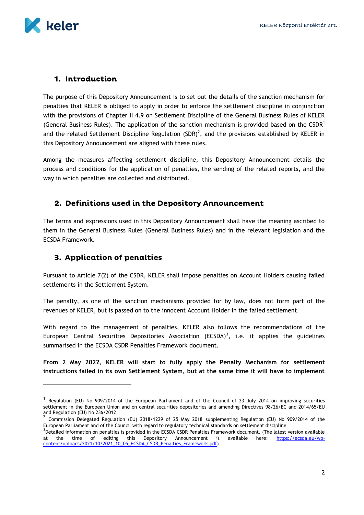

-

## 1. Introduction

The purpose of this Depository Announcement is to set out the details of the sanction mechanism for penalties that KELER is obliged to apply in order to enforce the settlement discipline in conjunction with the provisions of Chapter II.4.9 on Settlement Discipline of the General Business Rules of KELER (General Business Rules). The application of the sanction mechanism is provided based on the CSDR<sup>1</sup> and the related Settlement Discipline Regulation (SDR)<sup>2</sup>, and the provisions established by KELER in this Depository Announcement are aligned with these rules.

Among the measures affecting settlement discipline, this Depository Announcement details the process and conditions for the application of penalties, the sending of the related reports, and the way in which penalties are collected and distributed.

## <span id="page-2-0"></span>2. Definitions used in the Depository Announcement

The terms and expressions used in this Depository Announcement shall have the meaning ascribed to them in the General Business Rules (General Business Rules) and in the relevant legislation and the ECSDA Framework.

## <span id="page-2-1"></span>3. Application of penalties

Pursuant to Article 7(2) of the CSDR, KELER shall impose penalties on Account Holders causing failed settlements in the Settlement System.

The penalty, as one of the sanction mechanisms provided for by law, does not form part of the revenues of KELER, but is passed on to the innocent Account Holder in the failed settlement.

With regard to the management of penalties, KELER also follows the recommendations of the European Central Securities Depositories Association (ECSDA)<sup>3</sup>, i.e. it applies the guidelines summarised in the ECSDA CSDR Penalties Framework document.

**From 2 May 2022, KELER will start to fully apply the Penalty Mechanism for settlement instructions failed in its own Settlement System, but at the same time it will have to implement** 

<sup>&</sup>lt;sup>1</sup> Regulation (EU) No 909/2014 of the European Parliament and of the Council of 23 July 2014 on improving securities settlement in the European Union and on central securities depositories and amending Directives 98/26/EC and 2014/65/EU and Regulation (EU) No 236/2012

Commission Delegated Regulation (EU) 2018/1229 of 25 May 2018 supplementing Regulation (EU) No 909/2014 of the European Parliament and of the Council with regard to regulatory technical standards on settlement discipline

 $3$ Detailed information on penalties is provided in the ECSDA CSDR Penalties Framework document. (The latest version available at the time of editing this Depository Announcement is available here: [https://ecsda.eu/wp](https://ecsda.eu/wp-content/uploads/2021/10/2021_10_05_ECSDA_CSDR_Penalties_Framework.pdf))[content/uploads/2021/10/2021\\_10\\_05\\_ECSDA\\_CSDR\\_Penalties\\_Framework.pdf\)](https://ecsda.eu/wp-content/uploads/2021/10/2021_10_05_ECSDA_CSDR_Penalties_Framework.pdf))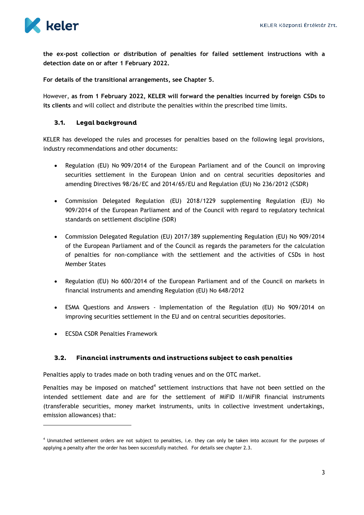

**the ex-post collection or distribution of penalties for failed settlement instructions with a detection date on or after 1 February 2022.** 

**For details of the transitional arrangements, see Chapter 5.**

However, **as from 1 February 2022, KELER will forward the penalties incurred by foreign CSDs to its clients** and will collect and distribute the penalties within the prescribed time limits.

#### <span id="page-3-0"></span> $3.1.$ Legal background

KELER has developed the rules and processes for penalties based on the following legal provisions, industry recommendations and other documents:

- Regulation (EU) No 909/2014 of the European Parliament and of the Council on improving securities settlement in the European Union and on central securities depositories and amending Directives 98/26/EC and 2014/65/EU and Regulation (EU) No 236/2012 (CSDR)
- Commission Delegated Regulation (EU) 2018/1229 supplementing Regulation (EU) No 909/2014 of the European Parliament and of the Council with regard to regulatory technical standards on settlement discipline (SDR)
- Commission Delegated Regulation (EU) 2017/389 supplementing Regulation (EU) No 909/2014 of the European Parliament and of the Council as regards the parameters for the calculation of penalties for non-compliance with the settlement and the activities of CSDs in host Member States
- Regulation (EU) No 600/2014 of the European Parliament and of the Council on markets in financial instruments and amending Regulation (EU) No 648/2012
- ESMA Questions and Answers Implementation of the Regulation (EU) No 909/2014 on improving securities settlement in the EU and on central securities depositories.
- ECSDA CSDR Penalties Framework

-

#### <span id="page-3-1"></span> $3.2.$ Financial instruments and instructions subject to cash penalties

Penalties apply to trades made on both trading venues and on the OTC market.

Penalties may be imposed on matched<sup>4</sup> settlement instructions that have not been settled on the intended settlement date and are for the settlement of MiFID II/MiFIR financial instruments (transferable securities, money market instruments, units in collective investment undertakings, emission allowances) that:

<sup>4</sup> Unmatched settlement orders are not subject to penalties, i.e. they can only be taken into account for the purposes of applying a penalty after the order has been successfully matched. For details see chapter 2.3.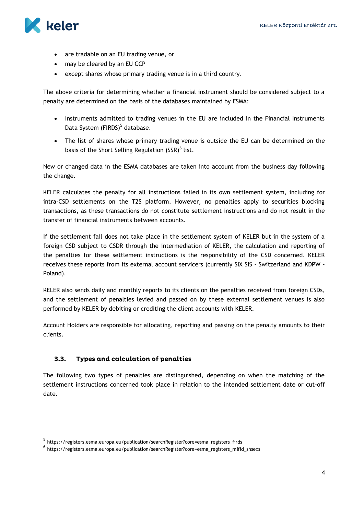

-

- are tradable on an EU trading venue, or
- may be cleared by an EU CCP
- except shares whose primary trading venue is in a third country.

The above criteria for determining whether a financial instrument should be considered subject to a penalty are determined on the basis of the databases maintained by ESMA:

- Instruments admitted to trading venues in the EU are included in the Financial Instruments Data System (FIRDS)<sup>5</sup> database.
- The list of shares whose primary trading venue is outside the EU can be determined on the basis of the Short Selling Regulation (SSR)<sup>6</sup> list.

New or changed data in the ESMA databases are taken into account from the business day following the change.

KELER calculates the penalty for all instructions failed in its own settlement system, including for intra-CSD settlements on the T2S platform. However, no penalties apply to securities blocking transactions, as these transactions do not constitute settlement instructions and do not result in the transfer of financial instruments between accounts.

If the settlement fail does not take place in the settlement system of KELER but in the system of a foreign CSD subject to CSDR through the intermediation of KELER, the calculation and reporting of the penalties for these settlement instructions is the responsibility of the CSD concerned. KELER receives these reports from its external account servicers (currently SIX SIS - Switzerland and KDPW - Poland).

KELER also sends daily and monthly reports to its clients on the penalties received from foreign CSDs, and the settlement of penalties levied and passed on by these external settlement venues is also performed by KELER by debiting or crediting the client accounts with KELER.

Account Holders are responsible for allocating, reporting and passing on the penalty amounts to their clients.

#### <span id="page-4-0"></span> $3.3.$ Types and calculation of penalties

The following two types of penalties are distinguished, depending on when the matching of the settlement instructions concerned took place in relation to the intended settlement date or cut-off date.

<sup>&</sup>lt;sup>5</sup> https://registers.esma.europa.eu/publication/searchRegister?core=esma\_registers\_firds

<sup>&</sup>lt;sup>6</sup> https://registers.esma.europa.eu/publication/searchRegister?core=esma\_registers\_mifid\_shsexs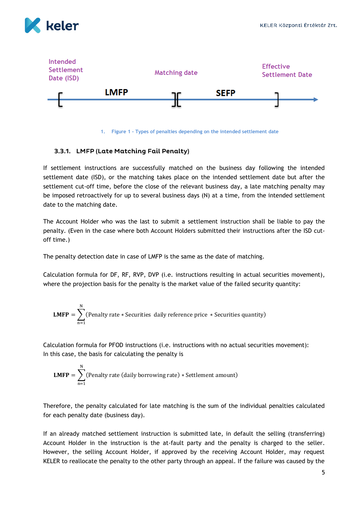



**1. Figure 1 - Types of penalties depending on the intended settlement date**

#### <span id="page-5-0"></span>3.3.1. LMFP (Late Matching Fail Penalty)

If settlement instructions are successfully matched on the business day following the intended settlement date (ISD), or the matching takes place on the intended settlement date but after the settlement cut-off time, before the close of the relevant business day, a late matching penalty may be imposed retroactively for up to several business days (N) at a time, from the intended settlement date to the matching date.

The Account Holder who was the last to submit a settlement instruction shall be liable to pay the penalty. (Even in the case where both Account Holders submitted their instructions after the ISD cutoff time.)

The penalty detection date in case of LMFP is the same as the date of matching.

Calculation formula for DF, RF, RVP, DVP (i.e. instructions resulting in actual securities movement), where the projection basis for the penalty is the market value of the failed security quantity:

**LMFP** = 
$$
\sum_{n=1}^{N}
$$
 (Penalty rate \* Securities daily reference price \* Securities quantity)

Calculation formula for PFOD instructions (i.e. instructions with no actual securities movement): In this case, the basis for calculating the penalty is

**LMFP** = 
$$
\sum_{n=1}^{N}
$$
(Penalty rate (daily borrowing rate) \* Settlement amount)

Therefore, the penalty calculated for late matching is the sum of the individual penalties calculated for each penalty date (business day).

If an already matched settlement instruction is submitted late, in default the selling (transferring) Account Holder in the instruction is the at-fault party and the penalty is charged to the seller. However, the selling Account Holder, if approved by the receiving Account Holder, may request KELER to reallocate the penalty to the other party through an appeal. If the failure was caused by the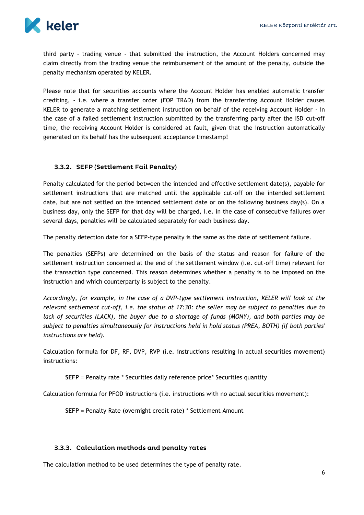

third party - trading venue - that submitted the instruction, the Account Holders concerned may claim directly from the trading venue the reimbursement of the amount of the penalty, outside the penalty mechanism operated by KELER.

Please note that for securities accounts where the Account Holder has enabled automatic transfer crediting, - i.e. where a transfer order (FOP TRAD) from the transferring Account Holder causes KELER to generate a matching settlement instruction on behalf of the receiving Account Holder - in the case of a failed settlement instruction submitted by the transferring party after the ISD cut-off time, the receiving Account Holder is considered at fault, given that the instruction automatically generated on its behalf has the subsequent acceptance timestamp!

## <span id="page-6-0"></span>3.3.2. SEFP (Settlement Fail Penalty)

Penalty calculated for the period between the intended and effective settlement date(s), payable for settlement instructions that are matched until the applicable cut-off on the intended settlement date, but are not settled on the intended settlement date or on the following business day(s). On a business day, only the SEFP for that day will be charged, i.e. in the case of consecutive failures over several days, penalties will be calculated separately for each business day.

The penalty detection date for a SEFP-type penalty is the same as the date of settlement failure.

The penalties (SEFPs) are determined on the basis of the status and reason for failure of the settlement instruction concerned at the end of the settlement window (i.e. cut-off time) relevant for the transaction type concerned. This reason determines whether a penalty is to be imposed on the instruction and which counterparty is subject to the penalty.

*Accordingly, for example, in the case of a DVP-type settlement instruction, KELER will look at the relevant settlement cut-off, i.e. the status at 17:30: the seller may be subject to penalties due to lack of securities (LACK), the buyer due to a shortage of funds (MONY), and both parties may be subject to penalties simultaneously for instructions held in hold status (PREA, BOTH) (if both parties' instructions are held).*

Calculation formula for DF, RF, DVP, RVP (i.e. instructions resulting in actual securities movement) instructions:

**SEFP** = Penalty rate \* Securities daily reference price\* Securities quantity

Calculation formula for PFOD instructions (i.e. instructions with no actual securities movement):

**SEFP** = Penalty Rate (overnight credit rate) \* Settlement Amount

#### <span id="page-6-1"></span>3.3.3. Calculation methods and penalty rates

The calculation method to be used determines the type of penalty rate.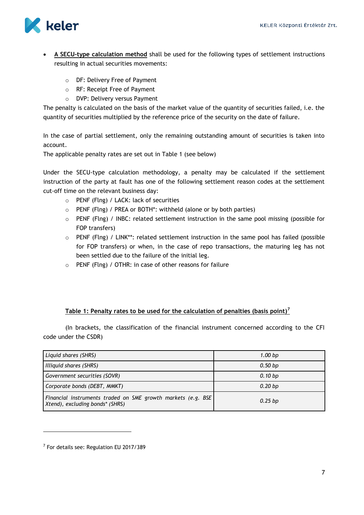

- **A SECU-type calculation method** shall be used for the following types of settlement instructions resulting in actual securities movements:
	- o DF: Delivery Free of Payment
	- o RF: Receipt Free of Payment
	- o DVP: Delivery versus Payment

The penalty is calculated on the basis of the market value of the quantity of securities failed, i.e. the quantity of securities multiplied by the reference price of the security on the date of failure.

In the case of partial settlement, only the remaining outstanding amount of securities is taken into account.

The applicable penalty rates are set out in Table 1 (see below)

Under the SECU-type calculation methodology, a penalty may be calculated if the settlement instruction of the party at fault has one of the following settlement reason codes at the settlement cut-off time on the relevant business day:

- o PENF (Flng) / LACK: lack of securities
- o PENF (Flng) / PREA or BOTH\*: withheld (alone or by both parties)
- o PENF (Flng) / INBC: related settlement instruction in the same pool missing (possible for FOP transfers)
- o PENF (Flng) / LINK\*\*: related settlement instruction in the same pool has failed (possible for FOP transfers) or when, in the case of repo transactions, the maturing leg has not been settled due to the failure of the initial leg.
- o PENF (Flng) / OTHR: in case of other reasons for failure

#### **Table 1: Penalty rates to be used for the calculation of penalties (basis point)<sup>7</sup>**

(In brackets, the classification of the financial instrument concerned according to the CFI code under the CSDR)

| Liquid shares (SHRS)                                                                             | 1.00 <sub>bp</sub> |
|--------------------------------------------------------------------------------------------------|--------------------|
| Illiquid shares (SHRS)                                                                           | 0.50 bp            |
| Government securities (SOVR)                                                                     | 0.10 bp            |
| Corporate bonds (DEBT, MMKT)                                                                     | 0.20 <sub>bp</sub> |
| Financial instruments traded on SME growth markets (e.g. BSE)<br>Xtend), excluding bonds* (SHRS) | $0.25$ bp          |

-

<sup>&</sup>lt;sup>7</sup> For details see: Regulation EU 2017/389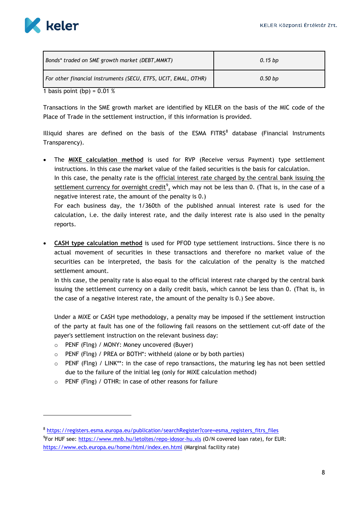

 $\overline{a}$ 

| Bonds* traded on SME growth market (DEBT, MMKT)                                             | $0.15$ bp |
|---------------------------------------------------------------------------------------------|-----------|
| For other financial instruments (SECU, ETFS, UCIT, EMAL, OTHR)<br>$\sim$ $\sim$ $\sim$<br>. | $0.50$ bp |

1 basis point (bp) =  $0.01\%$ 

Transactions in the SME growth market are identified by KELER on the basis of the MIC code of the Place of Trade in the settlement instruction, if this information is provided.

Illiquid shares are defined on the basis of the  $ESMA$  FITRS $^8$  database (Financial Instruments Transparency).

 The **MIXE calculation method** is used for RVP (Receive versus Payment) type settlement instructions. In this case the market value of the failed securities is the basis for calculation. In this case, the penalty rate is the official interest rate charged by the central bank issuing the settlement currency for overnight credit<sup>9</sup>, which may not be less than 0. (That is, in the case of a

negative interest rate, the amount of the penalty is 0.) For each business day, the 1/360th of the published annual interest rate is used for the calculation, i.e. the daily interest rate, and the daily interest rate is also used in the penalty reports.

 **CASH type calculation method** is used for PFOD type settlement instructions. Since there is no actual movement of securities in these transactions and therefore no market value of the securities can be interpreted, the basis for the calculation of the penalty is the matched settlement amount.

In this case, the penalty rate is also equal to the official interest rate charged by the central bank issuing the settlement currency on a daily credit basis, which cannot be less than 0. (That is, in the case of a negative interest rate, the amount of the penalty is 0.) See above.

Under a MIXE or CASH type methodology, a penalty may be imposed if the settlement instruction of the party at fault has one of the following fail reasons on the settlement cut-off date of the payer's settlement instruction on the relevant business day:

- o PENF (Flng) / MONY: Money uncovered (Buyer)
- o PENF (Flng) / PREA or BOTH\*: withheld (alone or by both parties)
- $\circ$  PENF (Flng) / LINK\*\*: in the case of repo transactions, the maturing leg has not been settled due to the failure of the initial leg (only for MIXE calculation method)
- o PENF (Flng) / OTHR: in case of other reasons for failure

<sup>8</sup> [https://registers.esma.europa.eu/publication/searchRegister?core=esma\\_registers\\_fitrs\\_files](https://registers.esma.europa.eu/publication/searchRegister?core=esma_registers_fitrs_files) <sup>9</sup>For HUF see:<https://www.mnb.hu/letoltes/repo-idosor-hu.xls> (O/N covered loan rate), for EUR: <https://www.ecb.europa.eu/home/html/index.en.html> (Marginal facility rate)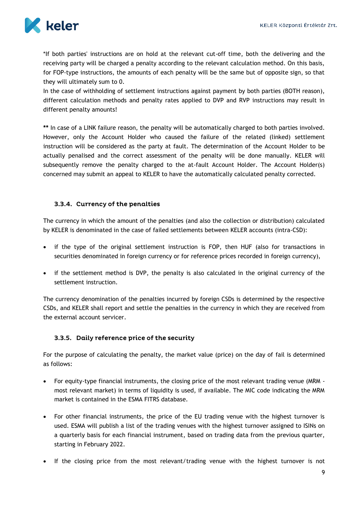

\*If both parties' instructions are on hold at the relevant cut-off time, both the delivering and the receiving party will be charged a penalty according to the relevant calculation method. On this basis, for FOP-type instructions, the amounts of each penalty will be the same but of opposite sign, so that they will ultimately sum to 0.

In the case of withholding of settlement instructions against payment by both parties (BOTH reason), different calculation methods and penalty rates applied to DVP and RVP instructions may result in different penalty amounts!

**\*\*** In case of a LINK failure reason, the penalty will be automatically charged to both parties involved. However, only the Account Holder who caused the failure of the related (linked) settlement instruction will be considered as the party at fault. The determination of the Account Holder to be actually penalised and the correct assessment of the penalty will be done manually. KELER will subsequently remove the penalty charged to the at-fault Account Holder. The Account Holder(s) concerned may submit an appeal to KELER to have the automatically calculated penalty corrected.

## <span id="page-9-0"></span>3.3.4. Currency of the penalties

The currency in which the amount of the penalties (and also the collection or distribution) calculated by KELER is denominated in the case of failed settlements between KELER accounts (intra-CSD):

- if the type of the original settlement instruction is FOP, then HUF (also for transactions in securities denominated in foreign currency or for reference prices recorded in foreign currency),
- if the settlement method is DVP, the penalty is also calculated in the original currency of the settlement instruction.

The currency denomination of the penalties incurred by foreign CSDs is determined by the respective CSDs, and KELER shall report and settle the penalties in the currency in which they are received from the external account servicer.

#### <span id="page-9-1"></span>3.3.5. Daily reference price of the security

For the purpose of calculating the penalty, the market value (price) on the day of fail is determined as follows:

- For equity-type financial instruments, the closing price of the most relevant trading venue (MRM most relevant market) in terms of liquidity is used, if available. The MIC code indicating the MRM market is contained in the ESMA FITRS database.
- For other financial instruments, the price of the EU trading venue with the highest turnover is used. ESMA will publish a list of the trading venues with the highest turnover assigned to ISINs on a quarterly basis for each financial instrument, based on trading data from the previous quarter, starting in February 2022.
- If the closing price from the most relevant/trading venue with the highest turnover is not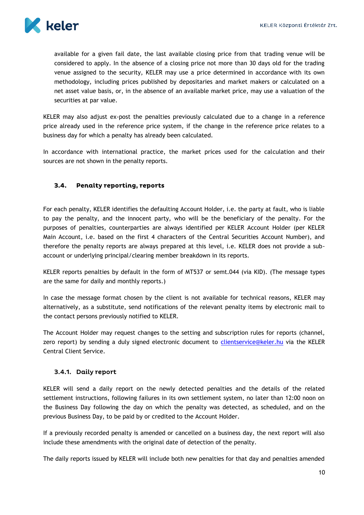

available for a given fail date, the last available closing price from that trading venue will be considered to apply. In the absence of a closing price not more than 30 days old for the trading venue assigned to the security, KELER may use a price determined in accordance with its own methodology, including prices published by depositaries and market makers or calculated on a net asset value basis, or, in the absence of an available market price, may use a valuation of the securities at par value.

KELER may also adjust ex-post the penalties previously calculated due to a change in a reference price already used in the reference price system, if the change in the reference price relates to a business day for which a penalty has already been calculated.

In accordance with international practice, the market prices used for the calculation and their sources are not shown in the penalty reports.

#### <span id="page-10-0"></span> $3.4.$ **Penalty reporting, reports**

For each penalty, KELER identifies the defaulting Account Holder, i.e. the party at fault, who is liable to pay the penalty, and the innocent party, who will be the beneficiary of the penalty. For the purposes of penalties, counterparties are always identified per KELER Account Holder (per KELER Main Account, i.e. based on the first 4 characters of the Central Securities Account Number), and therefore the penalty reports are always prepared at this level, i.e. KELER does not provide a subaccount or underlying principal/clearing member breakdown in its reports.

KELER reports penalties by default in the form of MT537 or semt.044 (via KID). (The message types are the same for daily and monthly reports.)

In case the message format chosen by the client is not available for technical reasons, KELER may alternatively, as a substitute, send notifications of the relevant penalty items by electronic mail to the contact persons previously notified to KELER.

The Account Holder may request changes to the setting and subscription rules for reports (channel, zero report) by sending a duly signed electronic document to [clientservice@keler.hu](mailto:clientservice@keler.hu) via the KELER Central Client Service.

## <span id="page-10-1"></span>3.4.1. Daily report

KELER will send a daily report on the newly detected penalties and the details of the related settlement instructions, following failures in its own settlement system, no later than 12:00 noon on the Business Day following the day on which the penalty was detected, as scheduled, and on the previous Business Day, to be paid by or credited to the Account Holder.

If a previously recorded penalty is amended or cancelled on a business day, the next report will also include these amendments with the original date of detection of the penalty.

The daily reports issued by KELER will include both new penalties for that day and penalties amended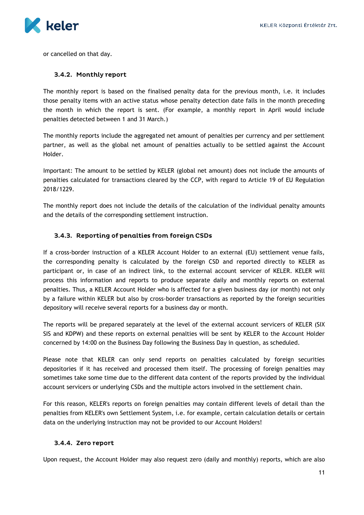

or cancelled on that day.

#### <span id="page-11-0"></span>3.4.2. Monthly report

The monthly report is based on the finalised penalty data for the previous month, i.e. it includes those penalty items with an active status whose penalty detection date falls in the month preceding the month in which the report is sent. (For example, a monthly report in April would include penalties detected between 1 and 31 March.)

The monthly reports include the aggregated net amount of penalties per currency and per settlement partner, as well as the global net amount of penalties actually to be settled against the Account Holder.

Important: The amount to be settled by KELER (global net amount) does not include the amounts of penalties calculated for transactions cleared by the CCP, with regard to Article 19 of EU Regulation 2018/1229.

The monthly report does not include the details of the calculation of the individual penalty amounts and the details of the corresponding settlement instruction.

## <span id="page-11-1"></span>3.4.3. Reporting of penalties from foreign CSDs

If a cross-border instruction of a KELER Account Holder to an external (EU) settlement venue fails, the corresponding penalty is calculated by the foreign CSD and reported directly to KELER as participant or, in case of an indirect link, to the external account servicer of KELER. KELER will process this information and reports to produce separate daily and monthly reports on external penalties. Thus, a KELER Account Holder who is affected for a given business day (or month) not only by a failure within KELER but also by cross-border transactions as reported by the foreign securities depository will receive several reports for a business day or month.

The reports will be prepared separately at the level of the external account servicers of KELER (SIX SIS and KDPW) and these reports on external penalties will be sent by KELER to the Account Holder concerned by 14:00 on the Business Day following the Business Day in question, as scheduled.

Please note that KELER can only send reports on penalties calculated by foreign securities depositories if it has received and processed them itself. The processing of foreign penalties may sometimes take some time due to the different data content of the reports provided by the individual account servicers or underlying CSDs and the multiple actors involved in the settlement chain.

For this reason, KELER's reports on foreign penalties may contain different levels of detail than the penalties from KELER's own Settlement System, i.e. for example, certain calculation details or certain data on the underlying instruction may not be provided to our Account Holders!

#### <span id="page-11-2"></span>3.4.4. Zero report

Upon request, the Account Holder may also request zero (daily and monthly) reports, which are also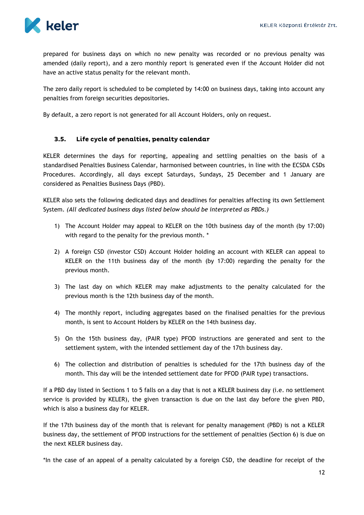

prepared for business days on which no new penalty was recorded or no previous penalty was amended (daily report), and a zero monthly report is generated even if the Account Holder did not have an active status penalty for the relevant month.

The zero daily report is scheduled to be completed by 14:00 on business days, taking into account any penalties from foreign securities depositories.

By default, a zero report is not generated for all Account Holders, only on request.

#### <span id="page-12-0"></span> $3.5.$ Life cycle of penalties, penalty calendar

KELER determines the days for reporting, appealing and settling penalties on the basis of a standardised Penalties Business Calendar, harmonised between countries, in line with the ECSDA CSDs Procedures. Accordingly, all days except Saturdays, Sundays, 25 December and 1 January are considered as Penalties Business Days (PBD).

KELER also sets the following dedicated days and deadlines for penalties affecting its own Settlement System. *(All dedicated business days listed below should be interpreted as PBDs.)*

- 1) The Account Holder may appeal to KELER on the 10th business day of the month (by 17:00) with regard to the penalty for the previous month. \*
- 2) A foreign CSD (investor CSD) Account Holder holding an account with KELER can appeal to KELER on the 11th business day of the month (by 17:00) regarding the penalty for the previous month.
- 3) The last day on which KELER may make adjustments to the penalty calculated for the previous month is the 12th business day of the month.
- 4) The monthly report, including aggregates based on the finalised penalties for the previous month, is sent to Account Holders by KELER on the 14th business day.
- 5) On the 15th business day, (PAIR type) PFOD instructions are generated and sent to the settlement system, with the intended settlement day of the 17th business day.
- 6) The collection and distribution of penalties is scheduled for the 17th business day of the month. This day will be the intended settlement date for PFOD (PAIR type) transactions.

If a PBD day listed in Sections 1 to 5 falls on a day that is not a KELER business day (i.e. no settlement service is provided by KELER), the given transaction is due on the last day before the given PBD, which is also a business day for KELER.

If the 17th business day of the month that is relevant for penalty management (PBD) is not a KELER business day, the settlement of PFOD instructions for the settlement of penalties (Section 6) is due on the next KELER business day.

\*In the case of an appeal of a penalty calculated by a foreign CSD, the deadline for receipt of the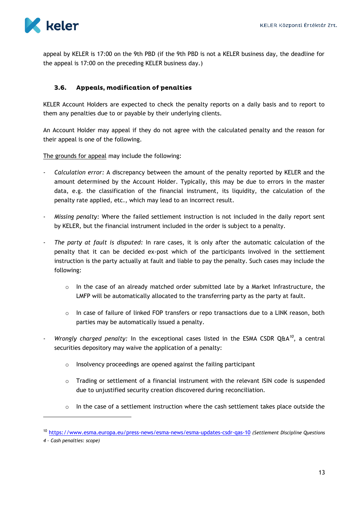

appeal by KELER is 17:00 on the 9th PBD (if the 9th PBD is not a KELER business day, the deadline for the appeal is 17:00 on the preceding KELER business day.)

#### <span id="page-13-0"></span> $3.6.$ Appeals, modification of penalties

KELER Account Holders are expected to check the penalty reports on a daily basis and to report to them any penalties due to or payable by their underlying clients.

An Account Holder may appeal if they do not agree with the calculated penalty and the reason for their appeal is one of the following.

The grounds for appeal may include the following:

- *Calculation error:* A discrepancy between the amount of the penalty reported by KELER and the amount determined by the Account Holder. Typically, this may be due to errors in the master data, e.g. the classification of the financial instrument, its liquidity, the calculation of the penalty rate applied, etc., which may lead to an incorrect result.
- *Missing penalty:* Where the failed settlement instruction is not included in the daily report sent by KELER, but the financial instrument included in the order is subject to a penalty.
- The party at fault is disputed: In rare cases, it is only after the automatic calculation of the penalty that it can be decided ex-post which of the participants involved in the settlement instruction is the party actually at fault and liable to pay the penalty. Such cases may include the following:
	- $\circ$  In the case of an already matched order submitted late by a Market Infrastructure, the LMFP will be automatically allocated to the transferring party as the party at fault.
	- o In case of failure of linked FOP transfers or repo transactions due to a LINK reason, both parties may be automatically issued a penalty.
- *Wrongly charged penalty:* In the exceptional cases listed in the ESMA CSDR Q&A*<sup>10</sup>*, a central securities depository may waive the application of a penalty:
	- o Insolvency proceedings are opened against the failing participant
	- o Trading or settlement of a financial instrument with the relevant ISIN code is suspended due to unjustified security creation discovered during reconciliation.
	- o In the case of a settlement instruction where the cash settlement takes place outside the

 $\overline{a}$ 

<sup>10</sup> <https://www.esma.europa.eu/press-news/esma-news/esma-updates-csdr-qas-10> *(Settlement Discipline Questions* 

*<sup>4</sup> – Cash penalties: scope)*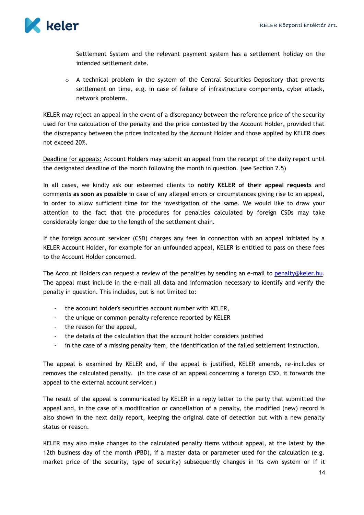

Settlement System and the relevant payment system has a settlement holiday on the intended settlement date.

o A technical problem in the system of the Central Securities Depository that prevents settlement on time, e.g. in case of failure of infrastructure components, cyber attack, network problems.

KELER may reject an appeal in the event of a discrepancy between the reference price of the security used for the calculation of the penalty and the price contested by the Account Holder, provided that the discrepancy between the prices indicated by the Account Holder and those applied by KELER does not exceed 20%.

Deadline for appeals: Account Holders may submit an appeal from the receipt of the daily report until the designated deadline of the month following the month in question. (see Section 2.5)

In all cases, we kindly ask our esteemed clients to **notify KELER of their appeal requests** and comments **as soon as possible** in case of any alleged errors or circumstances giving rise to an appeal, in order to allow sufficient time for the investigation of the same. We would like to draw your attention to the fact that the procedures for penalties calculated by foreign CSDs may take considerably longer due to the length of the settlement chain.

If the foreign account servicer (CSD) charges any fees in connection with an appeal initiated by a KELER Account Holder, for example for an unfounded appeal, KELER is entitled to pass on these fees to the Account Holder concerned.

The Account Holders can request a review of the penalties by sending an e-mail to penalty@keler.hu. The appeal must include in the e-mail all data and information necessary to identify and verify the penalty in question. This includes, but is not limited to:

- the account holder's securities account number with KELER,
- the unique or common penalty reference reported by KELER
- the reason for the appeal,
- the details of the calculation that the account holder considers justified
- in the case of a missing penalty item, the identification of the failed settlement instruction,

The appeal is examined by KELER and, if the appeal is justified, KELER amends, re-includes or removes the calculated penalty. (In the case of an appeal concerning a foreign CSD, it forwards the appeal to the external account servicer.)

The result of the appeal is communicated by KELER in a reply letter to the party that submitted the appeal and, in the case of a modification or cancellation of a penalty, the modified (new) record is also shown in the next daily report, keeping the original date of detection but with a new penalty status or reason.

KELER may also make changes to the calculated penalty items without appeal, at the latest by the 12th business day of the month (PBD), if a master data or parameter used for the calculation (e.g. market price of the security, type of security) subsequently changes in its own system or if it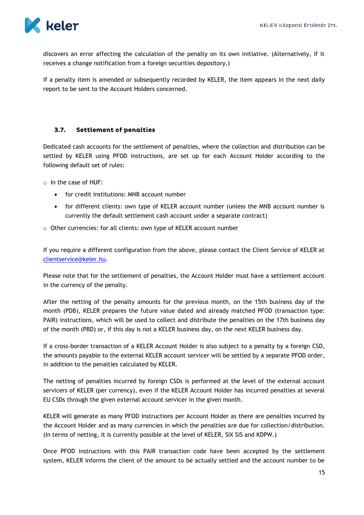

discovers an error affecting the calculation of the penalty on its own initiative. (Alternatively, if it receives a change notification from a foreign securities depository.)

If a penalty item is amended or subsequently recorded by KELER, the item appears in the next daily report to be sent to the Account Holders concerned.

#### <span id="page-15-0"></span> $3.7.$ **Settlement of penalties**

Dedicated cash accounts for the settlement of penalties, where the collection and distribution can be settled by KELER using PFOD instructions, are set up for each Account Holder according to the following default set of rules:

o In the case of HUF:

- for credit institutions: MNB account number
- for different clients: own type of KELER account number (unless the MNB account number is currently the default settlement cash account under a separate contract)
- o Other currencies: for all clients: own type of KELER account number

If you require a different configuration from the above, please contact the Client Service of KELER at [clientservice@keler.hu.](mailto:clientservice@keler.hu)

Please note that for the settlement of penalties, the Account Holder must have a settlement account in the currency of the penalty.

After the netting of the penalty amounts for the previous month, on the 15th business day of the month (PDB), KELER prepares the future value dated and already matched PFOD (transaction type: PAIR) instructions, which will be used to collect and distribute the penalties on the 17th business day of the month (PBD) or, if this day is not a KELER business day, on the next KELER business day.

If a cross-border transaction of a KELER Account Holder is also subject to a penalty by a foreign CSD, the amounts payable to the external KELER account servicer will be settled by a separate PFOD order, in addition to the penalties calculated by KELER.

The netting of penalties incurred by foreign CSDs is performed at the level of the external account servicers of KELER (per currency), even if the KELER Account Holder has incurred penalties at several EU CSDs through the given external account servicer in the given month.

KELER will generate as many PFOD instructions per Account Holder as there are penalties incurred by the Account Holder and as many currencies in which the penalties are due for collection/distribution. (In terms of netting, it is currently possible at the level of KELER, SIX SIS and KDPW.)

Once PFOD instructions with this PAIR transaction code have been accepted by the settlement system, KELER informs the client of the amount to be actually settled and the account number to be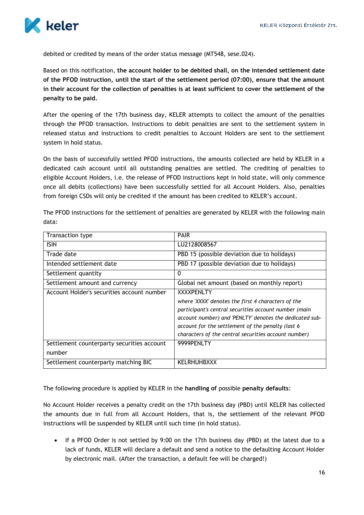

debited or credited by means of the order status message (MT548, sese.024).

Based on this notification, **the account holder to be debited shall, on the intended settlement date of the PFOD instruction, until the start of the settlement period (07:00), ensure that the amount in their account for the collection of penalties is at least sufficient to cover the settlement of the penalty to be paid.**

After the opening of the 17th business day, KELER attempts to collect the amount of the penalties through the PFOD transaction. Instructions to debit penalties are sent to the settlement system in released status and instructions to credit penalties to Account Holders are sent to the settlement system in hold status.

On the basis of successfully settled PFOD instructions, the amounts collected are held by KELER in a dedicated cash account until all outstanding penalties are settled. The crediting of penalties to eligible Account Holders, i.e. the release of PFOD instructions kept in hold state, will only commence once all debits (collections) have been successfully settled for all Account Holders. Also, penalties from foreign CSDs will only be credited if the amount has been credited to KELER's account.

|       | The PFOD instructions for the settlement of penalties are generated by KELER with the following main |  |  |
|-------|------------------------------------------------------------------------------------------------------|--|--|
| data: |                                                                                                      |  |  |
|       |                                                                                                      |  |  |

| Transaction type                                     | <b>PAIR</b>                                                                                                                                                                                                                                                                                              |
|------------------------------------------------------|----------------------------------------------------------------------------------------------------------------------------------------------------------------------------------------------------------------------------------------------------------------------------------------------------------|
| <b>ISIN</b>                                          | LU2128008567                                                                                                                                                                                                                                                                                             |
| Trade date                                           | PBD 15 (possible deviation due to holidays)                                                                                                                                                                                                                                                              |
| Intended settlement date                             | PBD 17 (possible deviation due to holidays)                                                                                                                                                                                                                                                              |
| Settlement quantity                                  | $\Omega$                                                                                                                                                                                                                                                                                                 |
| Settlement amount and currency                       | Global net amount (based on monthly report)                                                                                                                                                                                                                                                              |
| Account Holder's securities account number           | <b>XXXXPENLTY</b><br>where 'XXXX' denotes the first 4 characters of the<br>participant's central securities account number (main<br>account number) and 'PENLTY' denotes the dedicated sub-<br>account for the settlement of the penalty (last 6<br>characters of the central securities account number) |
| Settlement counterparty securities account<br>number | 9999PENLTY                                                                                                                                                                                                                                                                                               |
| Settlement counterparty matching BIC                 | KELRHUHBXXX                                                                                                                                                                                                                                                                                              |

The following procedure is applied by KELER in the **handling of** possible **penalty defaults**:

No Account Holder receives a penalty credit on the 17th business day (PBD) until KELER has collected the amounts due in full from all Account Holders, that is, the settlement of the relevant PFOD instructions will be suspended by KELER until such time (in hold status).

 If a PFOD Order is not settled by 9:00 on the 17th business day (PBD) at the latest due to a lack of funds, KELER will declare a default and send a notice to the defaulting Account Holder by electronic mail. (After the transaction, a default fee will be charged!)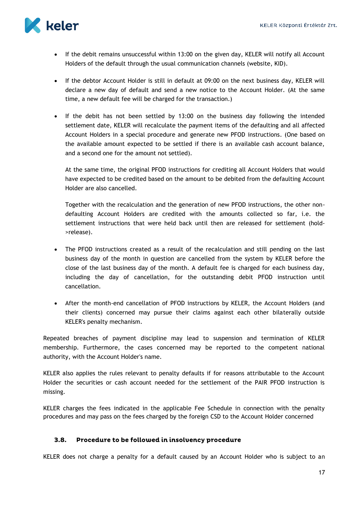

- If the debit remains unsuccessful within 13:00 on the given day, KELER will notify all Account Holders of the default through the usual communication channels (website, KID).
- If the debtor Account Holder is still in default at 09:00 on the next business day, KELER will declare a new day of default and send a new notice to the Account Holder. (At the same time, a new default fee will be charged for the transaction.)
- If the debit has not been settled by 13:00 on the business day following the intended settlement date, KELER will recalculate the payment items of the defaulting and all affected Account Holders in a special procedure and generate new PFOD instructions. (One based on the available amount expected to be settled if there is an available cash account balance, and a second one for the amount not settled).

At the same time, the original PFOD instructions for crediting all Account Holders that would have expected to be credited based on the amount to be debited from the defaulting Account Holder are also cancelled.

Together with the recalculation and the generation of new PFOD instructions, the other nondefaulting Account Holders are credited with the amounts collected so far, i.e. the settlement instructions that were held back until then are released for settlement (hold- >release).

- The PFOD instructions created as a result of the recalculation and still pending on the last business day of the month in question are cancelled from the system by KELER before the close of the last business day of the month. A default fee is charged for each business day, including the day of cancellation, for the outstanding debit PFOD instruction until cancellation.
- After the month-end cancellation of PFOD instructions by KELER, the Account Holders (and their clients) concerned may pursue their claims against each other bilaterally outside KELER's penalty mechanism.

Repeated breaches of payment discipline may lead to suspension and termination of KELER membership. Furthermore, the cases concerned may be reported to the competent national authority, with the Account Holder's name.

KELER also applies the rules relevant to penalty defaults if for reasons attributable to the Account Holder the securities or cash account needed for the settlement of the PAIR PFOD instruction is missing.

KELER charges the fees indicated in the applicable Fee Schedule in connection with the penalty procedures and may pass on the fees charged by the foreign CSD to the Account Holder concerned

#### <span id="page-17-0"></span> $3.8.$ Procedure to be followed in insolvency procedure

KELER does not charge a penalty for a default caused by an Account Holder who is subject to an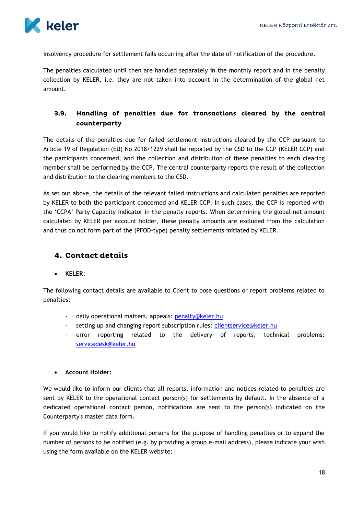

insolvency procedure for settlement fails occurring after the date of notification of the procedure.

The penalties calculated until then are handled separately in the monthly report and in the penalty collection by KELER, i.e. they are not taken into account in the determination of the global net amount.

#### <span id="page-18-0"></span> $3.9.$ Handling of penalties due for transactions cleared by the central counterparty

The details of the penalties due for failed settlement instructions cleared by the CCP pursuant to Article 19 of Regulation (EU) No 2018/1229 shall be reported by the CSD to the CCP (KELER CCP) and the participants concerned, and the collection and distribuiton of these penalties to each clearing member shall be performed by the CCP. The central counterparty reports the result of the collection and distribution to the clearing members to the CSD.

As set out above, the details of the relevant failed instructions and calculated penalties are reported by KELER to both the participant concerned and KELER CCP. In such cases, the CCP is reported with the 'CCPA' Party Capacity Indicator in the penalty reports. When determining the global net amount calculated by KELER per account holder, these penalty amounts are excluded from the calculation and thus do not form part of the (PFOD-type) penalty settlements initiated by KELER.

## <span id="page-18-1"></span>**4. Contact details**

#### **KELER:**

The following contact details are available to Client to pose questions or report problems related to penalties:

- daily operational matters, appeals: [penalty@keler.hu](mailto:penalty@keler.hu)
- setting up and changing report subscription rules: [clientservice@keler.hu](mailto:clientservice@keler.hu)
- error reporting related to the delivery of reports, technical problems: [servicedesk@keler.hu](mailto:servicedesk@keler.hu)

#### **Account Holder:**

We would like to inform our clients that all reports, information and notices related to penalties are sent by KELER to the operational contact person(s) for settlements by default. In the absence of a dedicated operational contact person, notifications are sent to the person(s) indicated on the Counterparty's master data form.

If you would like to notify additional persons for the purpose of handling penalties or to expand the number of persons to be notified (e.g. by providing a group e-mail address), please indicate your wish using the form available on the KELER website: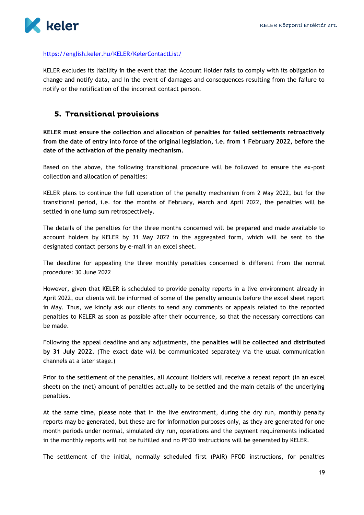

## <https://english.keler.hu/KELER/KelerContactList/>

KELER excludes its liability in the event that the Account Holder fails to comply with its obligation to change and notify data, and in the event of damages and consequences resulting from the failure to notify or the notification of the incorrect contact person.

## <span id="page-19-0"></span>5. Transitional provisions

**KELER must ensure the collection and allocation of penalties for failed settlements retroactively from the date of entry into force of the original legislation, i.e. from 1 February 2022, before the date of the activation of the penalty mechanism.**

Based on the above, the following transitional procedure will be followed to ensure the ex-post collection and allocation of penalties:

KELER plans to continue the full operation of the penalty mechanism from 2 May 2022, but for the transitional period, i.e. for the months of February, March and April 2022, the penalties will be settled in one lump sum retrospectively.

The details of the penalties for the three months concerned will be prepared and made available to account holders by KELER by 31 May 2022 in the aggregated form, which will be sent to the designated contact persons by e-mail in an excel sheet.

The deadline for appealing the three monthly penalties concerned is different from the normal procedure: 30 June 2022

However, given that KELER is scheduled to provide penalty reports in a live environment already in April 2022, our clients will be informed of some of the penalty amounts before the excel sheet report in May. Thus, we kindly ask our clients to send any comments or appeals related to the reported penalties to KELER as soon as possible after their occurrence, so that the necessary corrections can be made.

Following the appeal deadline and any adjustments, the **penalties will be collected and distributed by 31 July 2022.** (The exact date will be communicated separately via the usual communication channels at a later stage.)

Prior to the settlement of the penalties, all Account Holders will receive a repeat report (in an excel sheet) on the (net) amount of penalties actually to be settled and the main details of the underlying penalties.

At the same time, please note that in the live environment, during the dry run, monthly penalty reports may be generated, but these are for information purposes only, as they are generated for one month periods under normal, simulated dry run, operations and the payment requirements indicated in the monthly reports will not be fulfilled and no PFOD instructions will be generated by KELER.

The settlement of the initial, normally scheduled first (PAIR) PFOD instructions, for penalties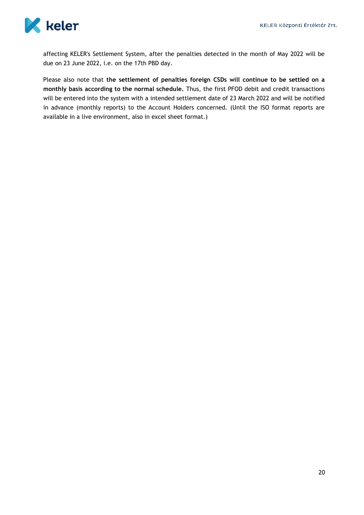

affecting KELER's Settlement System, after the penalties detected in the month of May 2022 will be due on 23 June 2022, i.e. on the 17th PBD day.

Please also note that **the settlement of penalties foreign CSDs will continue to be settled on a monthly basis according to the normal schedule.** Thus, the first PFOD debit and credit transactions will be entered into the system with a intended settlement date of 23 March 2022 and will be notified in advance (monthly reports) to the Account Holders concerned. (Until the ISO format reports are available in a live environment, also in excel sheet format.)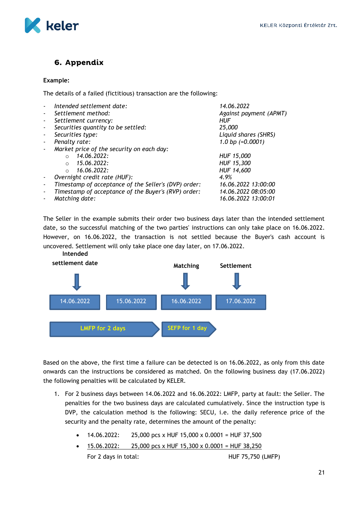

## <span id="page-21-0"></span>6. Appendix

#### **Example:**

The details of a failed (fictitious) transaction are the following:

|                          | Intended settlement date:                            | 14.06.2022             |
|--------------------------|------------------------------------------------------|------------------------|
| $\overline{\phantom{a}}$ | Settlement method:                                   | Against payment (APMT) |
| $\overline{\phantom{a}}$ | Settlement currency:                                 | HUF                    |
| $\blacksquare$           | Securities quantity to be settled:                   | 25,000                 |
| ٠                        | Securities type:                                     | Liquid shares (SHRS)   |
|                          | Penalty rate:                                        | 1.0 bp $(=0.0001)$     |
| $\sim$                   | Market price of the security on each day:            |                        |
|                          | 14.06.2022:<br>$\circ$                               | HUF 15,000             |
|                          | 15.06.2022:<br>$\circ$                               | HUF 15,300             |
|                          | 16.06.2022:<br>$\bigcirc$                            | HUF 14,600             |
|                          | Overnight credit rate (HUF):                         | 4.9%                   |
|                          | Timestamp of acceptance of the Seller's (DVP) order: | 16.06.2022 13:00:00    |
|                          | Timestamp of acceptance of the Buyer's (RVP) order:  | 14.06.2022 08:05:00    |
|                          | Matching date:                                       | 16.06.2022 13:00:01    |
|                          |                                                      |                        |

The Seller in the example submits their order two business days later than the intended settlement date, so the successful matching of the two parties' instructions can only take place on 16.06.2022. However, on 16.06.2022, the transaction is not settled because the Buyer's cash account is uncovered. Settlement will only take place one day later, on 17.06.2022.



Based on the above, the first time a failure can be detected is on 16.06.2022, as only from this date onwards can the instructions be considered as matched. On the following business day (17.06.2022) the following penalties will be calculated by KELER.

- 1. For 2 business days between 14.06.2022 and 16.06.2022: LMFP, party at fault: the Seller. The penalties for the two business days are calculated cumulatively. Since the instruction type is DVP, the calculation method is the following: SECU, i.e. the daily reference price of the security and the penalty rate, determines the amount of the penalty:
	- 14.06.2022: 25,000 pcs x HUF 15,000 x 0.0001 = HUF 37,500
	- 15.06.2022: 25,000 pcs x HUF 15,300 x 0.0001 = HUF 38,250 For 2 days in total: For 2 days in total: